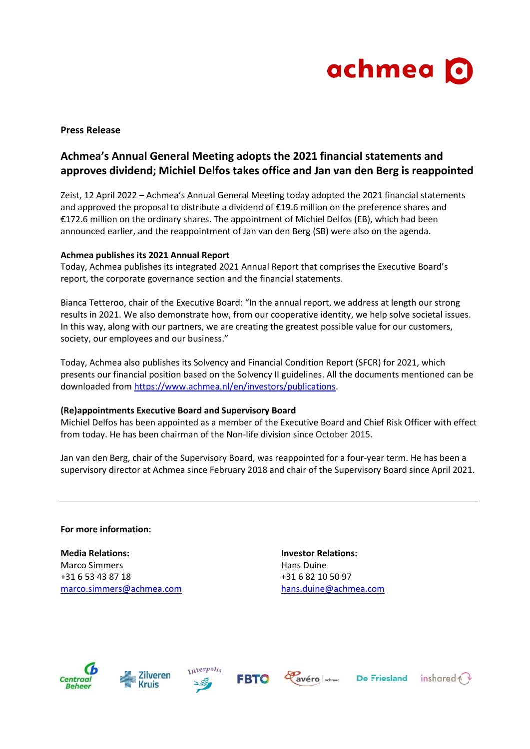

## **Press Release**

# **Achmea's Annual General Meeting adopts the 2021 financial statements and approves dividend; Michiel Delfos takes office and Jan van den Berg is reappointed**

Zeist, 12 April 2022 – Achmea's Annual General Meeting today adopted the 2021 financial statements and approved the proposal to distribute a dividend of €19.6 million on the preference shares and €172.6 million on the ordinary shares. The appointment of Michiel Delfos (EB), which had been announced earlier, and the reappointment of Jan van den Berg (SB) were also on the agenda.

### **Achmea publishes its 2021 Annual Report**

Today, Achmea publishes its integrated 2021 Annual Report that comprises the Executive Board's report, the corporate governance section and the financial statements.

Bianca Tetteroo, chair of the Executive Board: "In the annual report, we address at length our strong results in 2021. We also demonstrate how, from our cooperative identity, we help solve societal issues. In this way, along with our partners, we are creating the greatest possible value for our customers, society, our employees and our business."

Today, Achmea also publishes its Solvency and Financial Condition Report (SFCR) for 2021, which presents our financial position based on the Solvency II guidelines. All the documents mentioned can be downloaded from [https://www.achmea.nl/en/investors/publications.](https://www.achmea.nl/en/investors/publications)

### **(Re)appointments Executive Board and Supervisory Board**

Michiel Delfos has been appointed as a member of the Executive Board and Chief Risk Officer with effect from today. He has been chairman of the Non-life division since October 2015.

Jan van den Berg, chair of the Supervisory Board, was reappointed for a four-year term. He has been a supervisory director at Achmea since February 2018 and chair of the Supervisory Board since April 2021.

**For more information:**

**Media Relations: Investor Relations:** Marco Simmers **Marco Simmers Hans Duine** +31 6 53 43 87 18 +31 6 82 10 50 97 [marco.simmers@achmea.com](mailto:marco.simmers@achmea.com) [hans.duine@achmea.com](mailto:hans.duine@achmea.com)